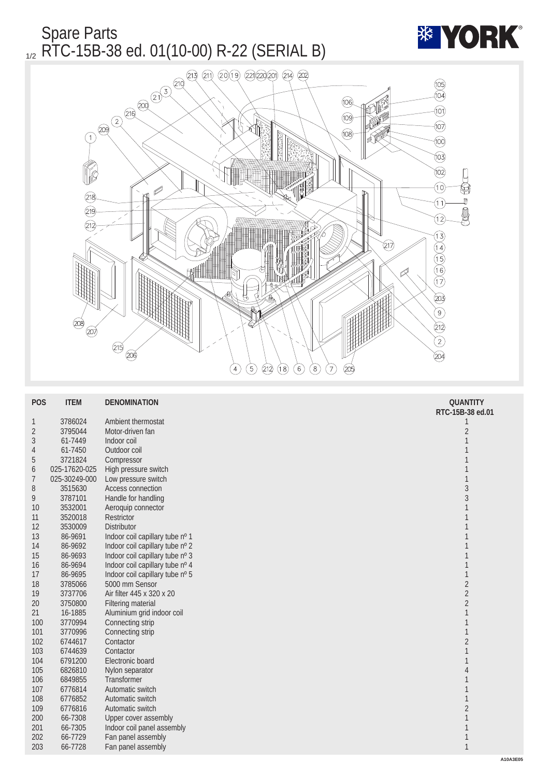

| <b>POS</b>       | <b>ITEM</b>   | <b>DENOMINATION</b>             | <b>QUANTITY</b>  |
|------------------|---------------|---------------------------------|------------------|
|                  |               |                                 | RTC-15B-38 ed.01 |
| $\mathbf{1}$     | 3786024       | Ambient thermostat              | 1                |
| $\boldsymbol{2}$ | 3795044       | Motor-driven fan                | $\boldsymbol{2}$ |
| 3                | 61-7449       | Indoor coil                     | 1                |
| 4                | 61-7450       | Outdoor coil                    | 1                |
| $\mathbf 5$      | 3721824       | Compressor                      | 1                |
| 6                | 025-17620-025 | High pressure switch            | 1                |
| 7                | 025-30249-000 | Low pressure switch             | 1                |
| 8                | 3515630       | Access connection               | $\sqrt{3}$       |
| 9                | 3787101       | Handle for handling             | $\sqrt{3}$       |
| 10               | 3532001       | Aeroquip connector              | $\mathbf{1}$     |
| 11               | 3520018       | <b>Restrictor</b>               | 1                |
| 12               | 3530009       | <b>Distributor</b>              | 1                |
| 13               | 86-9691       | Indoor coil capillary tube nº 1 | $\mathbf{1}$     |
| 14               | 86-9692       | Indoor coil capillary tube nº 2 | $\mathbf{1}$     |
| 15               | 86-9693       | Indoor coil capillary tube nº 3 | 1                |
| 16               | 86-9694       | Indoor coil capillary tube nº 4 | 1                |
| 17               | 86-9695       | Indoor coil capillary tube nº 5 | $\mathbf{1}$     |
| 18               | 3785066       | 5000 mm Sensor                  | $\sqrt{2}$       |
| 19               | 3737706       | Air filter 445 x 320 x 20       | $\overline{c}$   |
| 20               | 3750800       | <b>Filtering material</b>       | $\sqrt{2}$       |
| 21               | 16-1885       | Aluminium grid indoor coil      | $\mathbf{1}$     |
| 100              | 3770994       | Connecting strip                | $\mathbf{1}$     |
| 101              | 3770996       | Connecting strip                | $\mathbf{1}$     |
| 102              | 6744617       | Contactor                       | $\boldsymbol{2}$ |
| 103              | 6744639       | Contactor                       | $\mathbf{1}$     |
| 104              | 6791200       | Electronic board                | $\mathbf{1}$     |
| 105              | 6826810       | Nylon separator                 | 4                |
| 106              | 6849855       | <b>Transformer</b>              | 1                |
| 107              | 6776814       | Automatic switch                | 1                |
| 108              | 6776852       | Automatic switch                | 1                |
| 109              | 6776816       | Automatic switch                | $\sqrt{2}$       |
| 200              | 66-7308       | <b>Upper cover assembly</b>     | $\mathbf{1}$     |
| 201              | 66-7305       | Indoor coil panel assembly      | 1                |
| 202              | 66-7729       | Fan panel assembly              | $\mathbf{1}$     |
| 203              | 66-7728       | Fan panel assembly              | $\mathbf{1}$     |
|                  |               |                                 | A                |